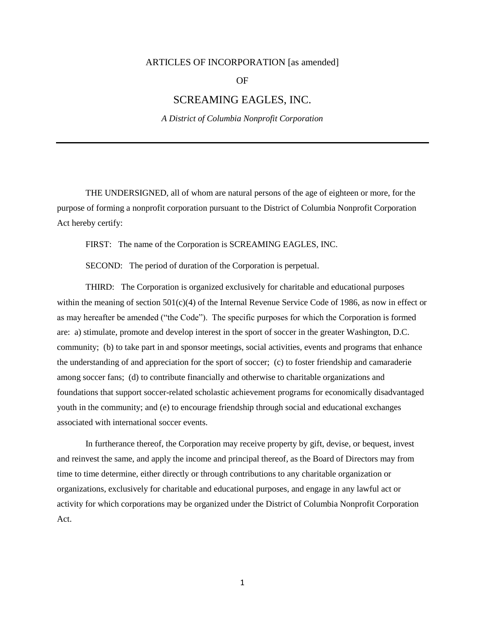## ARTICLES OF INCORPORATION [as amended]

OF

## SCREAMING EAGLES, INC.

*A District of Columbia Nonprofit Corporation*

THE UNDERSIGNED, all of whom are natural persons of the age of eighteen or more, for the purpose of forming a nonprofit corporation pursuant to the District of Columbia Nonprofit Corporation Act hereby certify:

FIRST: The name of the Corporation is SCREAMING EAGLES, INC.

SECOND: The period of duration of the Corporation is perpetual.

THIRD: The Corporation is organized exclusively for charitable and educational purposes within the meaning of section 501(c)(4) of the Internal Revenue Service Code of 1986, as now in effect or as may hereafter be amended ("the Code"). The specific purposes for which the Corporation is formed are: a) stimulate, promote and develop interest in the sport of soccer in the greater Washington, D.C. community; (b) to take part in and sponsor meetings, social activities, events and programs that enhance the understanding of and appreciation for the sport of soccer; (c) to foster friendship and camaraderie among soccer fans; (d) to contribute financially and otherwise to charitable organizations and foundations that support soccer-related scholastic achievement programs for economically disadvantaged youth in the community; and (e) to encourage friendship through social and educational exchanges associated with international soccer events.

In furtherance thereof, the Corporation may receive property by gift, devise, or bequest, invest and reinvest the same, and apply the income and principal thereof, as the Board of Directors may from time to time determine, either directly or through contributions to any charitable organization or organizations, exclusively for charitable and educational purposes, and engage in any lawful act or activity for which corporations may be organized under the District of Columbia Nonprofit Corporation Act.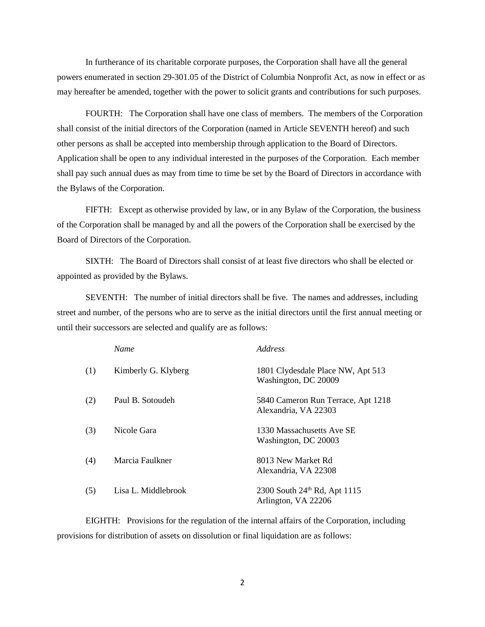In furtherance of its charitable corporate purposes, the Corporation shall have all the general powers enumerated in section 29-301.05 of the District of Columbia Nonprofit Act, as now in effect or as may hereafter be amended, together with the power to solicit grants and contributions for such purposes.

FOURTH: The Corporation shall have one class of members. The members of the Corporation shall consist of the initial directors of the Corporation (named in Article SEVENTH hereof) and such other persons as shall be accepted into membership through application to the Board of Directors. Application shall be open to any individual interested in the purposes of the Corporation. Each member shall pay such annual dues as may from time to time be set by the Board of Directors in accordance with the Bylaws of the Corporation.

FIFTH: Except as otherwise provided by law, or in any Bylaw of the Corporation, the business of the Corporation shall be managed by and all the powers of the Corporation shall be exercised by the Board of Directors of the Corporation.

SIXTH: The Board of Directors shall consist of at least five directors who shall be elected or appointed as provided by the Bylaws.

SEVENTH: The number of initial directors shall be five. The names and addresses, including street and number, of the persons who are to serve as the initial directors until the first annual meeting or until their successors are selected and qualify are as follows:

|     | <b>Name</b>         | <i>Address</i>                                             |
|-----|---------------------|------------------------------------------------------------|
| (1) | Kimberly G. Klyberg | 1801 Clydesdale Place NW, Apt 513<br>Washington, DC 20009  |
| (2) | Paul B. Sotoudeh    | 5840 Cameron Run Terrace, Apt 1218<br>Alexandria, VA 22303 |
| (3) | Nicole Gara         | 1330 Massachusetts Ave SE<br>Washington, DC 20003          |
| (4) | Marcia Faulkner     | 8013 New Market Rd<br>Alexandria, VA 22308                 |
| (5) | Lisa L. Middlebrook | 2300 South 24th Rd, Apt 1115<br>Arlington, VA 22206        |

EIGHTH: Provisions for the regulation of the internal affairs of the Corporation, including provisions for distribution of assets on dissolution or final liquidation are as follows: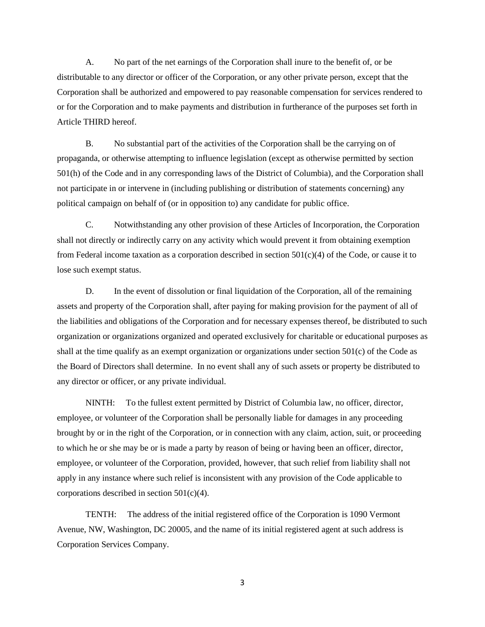A. No part of the net earnings of the Corporation shall inure to the benefit of, or be distributable to any director or officer of the Corporation, or any other private person, except that the Corporation shall be authorized and empowered to pay reasonable compensation for services rendered to or for the Corporation and to make payments and distribution in furtherance of the purposes set forth in Article THIRD hereof.

B. No substantial part of the activities of the Corporation shall be the carrying on of propaganda, or otherwise attempting to influence legislation (except as otherwise permitted by section 501(h) of the Code and in any corresponding laws of the District of Columbia), and the Corporation shall not participate in or intervene in (including publishing or distribution of statements concerning) any political campaign on behalf of (or in opposition to) any candidate for public office.

C. Notwithstanding any other provision of these Articles of Incorporation, the Corporation shall not directly or indirectly carry on any activity which would prevent it from obtaining exemption from Federal income taxation as a corporation described in section  $501(c)(4)$  of the Code, or cause it to lose such exempt status.

D. In the event of dissolution or final liquidation of the Corporation, all of the remaining assets and property of the Corporation shall, after paying for making provision for the payment of all of the liabilities and obligations of the Corporation and for necessary expenses thereof, be distributed to such organization or organizations organized and operated exclusively for charitable or educational purposes as shall at the time qualify as an exempt organization or organizations under section  $501(c)$  of the Code as the Board of Directors shall determine. In no event shall any of such assets or property be distributed to any director or officer, or any private individual.

NINTH: To the fullest extent permitted by District of Columbia law, no officer, director, employee, or volunteer of the Corporation shall be personally liable for damages in any proceeding brought by or in the right of the Corporation, or in connection with any claim, action, suit, or proceeding to which he or she may be or is made a party by reason of being or having been an officer, director, employee, or volunteer of the Corporation, provided, however, that such relief from liability shall not apply in any instance where such relief is inconsistent with any provision of the Code applicable to corporations described in section 501(c)(4).

TENTH: The address of the initial registered office of the Corporation is 1090 Vermont Avenue, NW, Washington, DC 20005, and the name of its initial registered agent at such address is Corporation Services Company.

3